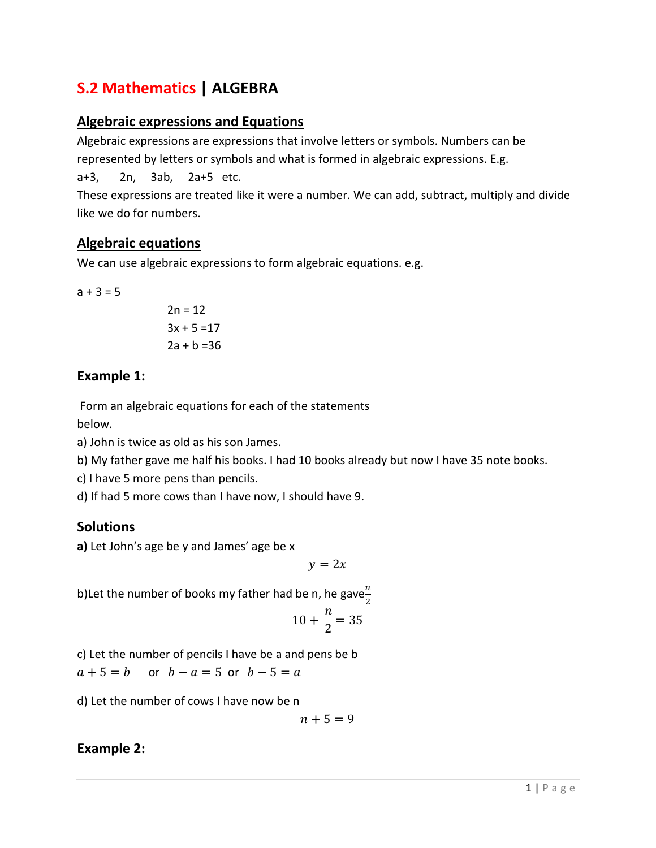# S.2 Mathematics | ALGEBRA

### Algebraic expressions and Equations

Algebraic expressions are expressions that involve letters or symbols. Numbers can be represented by letters or symbols and what is formed in algebraic expressions. E.g. a+3, 2n, 3ab, 2a+5 etc. These expressions are treated like it were a number. We can add, subtract, multiply and divide like we do for numbers.

### Algebraic equations

We can use algebraic expressions to form algebraic equations. e.g.

 $a + 3 = 5$ 

$$
2n = 12
$$
  

$$
3x + 5 = 17
$$
  

$$
2a + b = 36
$$

### Example 1:

Form an algebraic equations for each of the statements

below.

a) John is twice as old as his son James.

b) My father gave me half his books. I had 10 books already but now I have 35 note books.

c) I have 5 more pens than pencils.

d) If had 5 more cows than I have now, I should have 9.

### **Solutions**

a) Let John's age be y and James' age be x

 $y = 2x$ 

b)Let the number of books my father had be n, he gave $\frac{n}{2}$ 

$$
10 + \frac{n}{2} = 35
$$

c) Let the number of pencils I have be a and pens be b  $a + 5 = b$  or  $b - a = 5$  or  $b - 5 = a$ 

d) Let the number of cows I have now be n

$$
n+5=9
$$

### Example 2: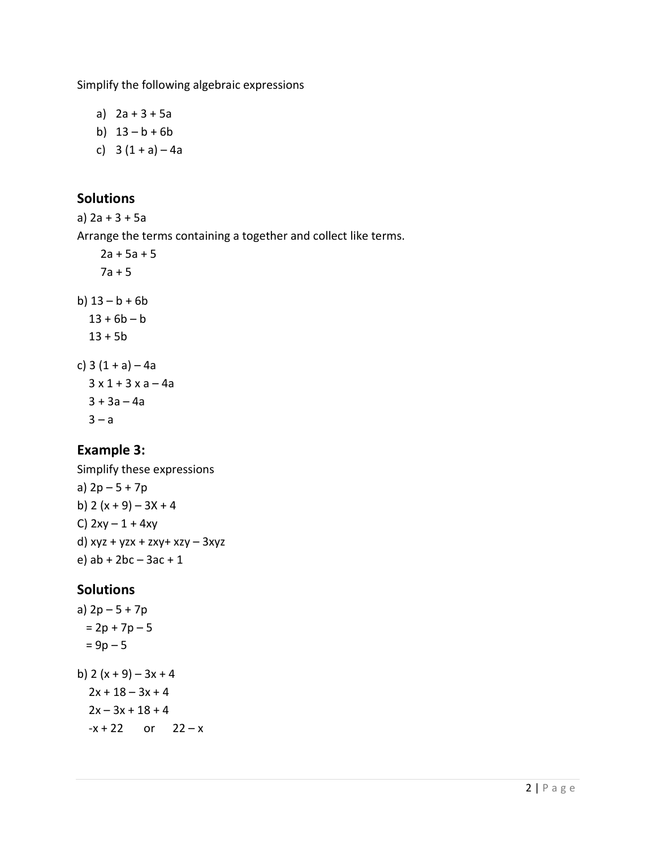Simplify the following algebraic expressions

- a)  $2a + 3 + 5a$
- b)  $13 b + 6b$
- c)  $3(1 + a) 4a$

## Solutions

a) 2a + 3 + 5a

Arrange the terms containing a together and collect like terms.

```
2a + 5a + 57a + 5b) 13 - b + 6b13 + 6b - b13 + 5bc) 3(1 + a) - 4a3 \times 1 + 3 \times a - 4a3 + 3a - 4a3 - a
```
### Example 3:

Simplify these expressions a) 2p – 5 + 7p b)  $2(x + 9) - 3x + 4$ C)  $2xy - 1 + 4xy$ d) xyz + yzx + zxy+ xzy – 3xyz e) ab + 2bc – 3ac + 1

### **Solutions**

a)  $2p - 5 + 7p$  $= 2p + 7p - 5$  $= 9p - 5$ b)  $2(x + 9) - 3x + 4$  $2x + 18 - 3x + 4$  $2x - 3x + 18 + 4$  $-x + 22$  or  $22 - x$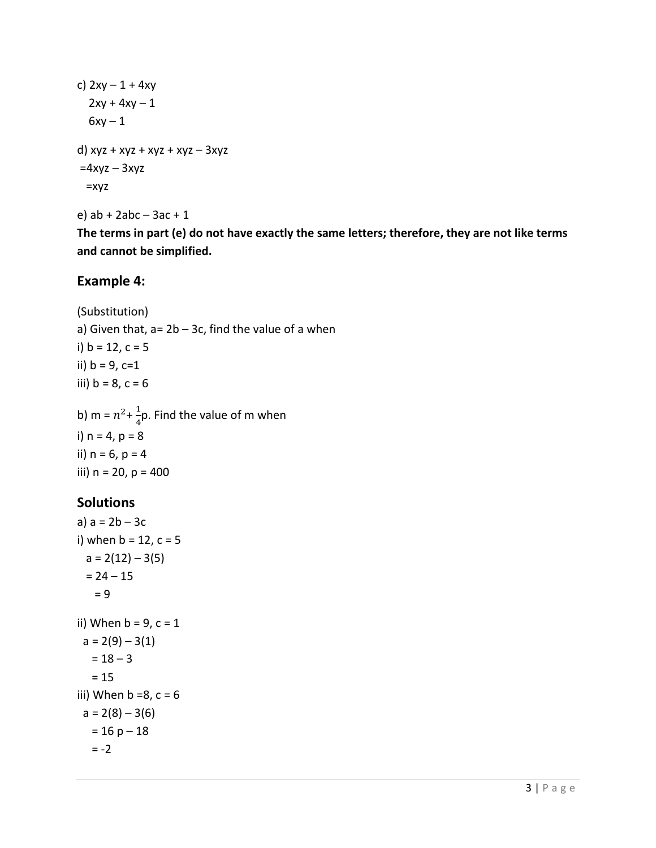c) 
$$
2xy - 1 + 4xy
$$
  
\n
$$
2xy + 4xy - 1
$$
  
\n
$$
6xy - 1
$$
  
\n
$$
d) xyz + xyz + xyz + xyz - 3xyz
$$
  
\n
$$
=4xyz - 3xyz
$$
  
\n
$$
=xyz
$$

e) ab + 2abc – 3ac + 1

The terms in part (e) do not have exactly the same letters; therefore, they are not like terms and cannot be simplified.

### Example 4:

(Substitution) a) Given that,  $a = 2b - 3c$ , find the value of a when i)  $b = 12$ ,  $c = 5$ ii)  $b = 9$ ,  $c=1$ iii)  $b = 8$ ,  $c = 6$ b) m =  $n^2 + \frac{1}{4}$  $\frac{1}{4}$ p. Find the value of m when i)  $n = 4$ ,  $p = 8$ 

# ii)  $n = 6$ ,  $p = 4$ iii)  $n = 20$ ,  $p = 400$

# Solutions

```
a) a = 2b - 3ci) when b = 12, c = 5a = 2(12) - 3(5)= 24 - 15= 9ii) When b = 9, c = 1a = 2(9) - 3(1)= 18 - 3= 15iii) When b = 8, c = 6a = 2(8) - 3(6)= 16 p - 18= -2
```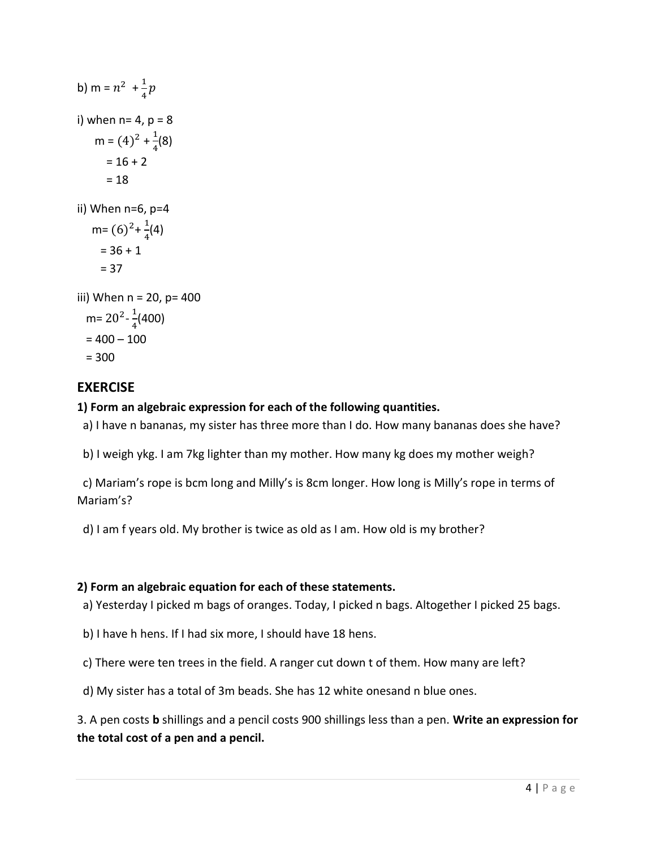| b) m = $n^2$ + $\frac{1}{4}p$                                                                |
|----------------------------------------------------------------------------------------------|
| i) when $n = 4$ , $p = 8$<br>m = $(4)^2 + \frac{1}{4}(8)$<br>$= 16 + 2$<br>$=18$             |
| ii) When n=6, p=4<br>m= $(6)^2 + \frac{1}{4}(4)$<br>$= 36 + 1$<br>$= 37$                     |
| iii) When n = 20, p= 400<br>m= 20 <sup>2</sup> - $\frac{1}{4}$ (400)<br>= 400 – 100<br>= 300 |

### **EXERCISE**

### 1) Form an algebraic expression for each of the following quantities.

a) I have n bananas, my sister has three more than I do. How many bananas does she have?

b) I weigh ykg. I am 7kg lighter than my mother. How many kg does my mother weigh?

 c) Mariam's rope is bcm long and Milly's is 8cm longer. How long is Milly's rope in terms of Mariam's?

d) I am f years old. My brother is twice as old as I am. How old is my brother?

#### 2) Form an algebraic equation for each of these statements.

- a) Yesterday I picked m bags of oranges. Today, I picked n bags. Altogether I picked 25 bags.
- b) I have h hens. If I had six more, I should have 18 hens.
- c) There were ten trees in the field. A ranger cut down t of them. How many are left?
- d) My sister has a total of 3m beads. She has 12 white onesand n blue ones.

3. A pen costs b shillings and a pencil costs 900 shillings less than a pen. Write an expression for the total cost of a pen and a pencil.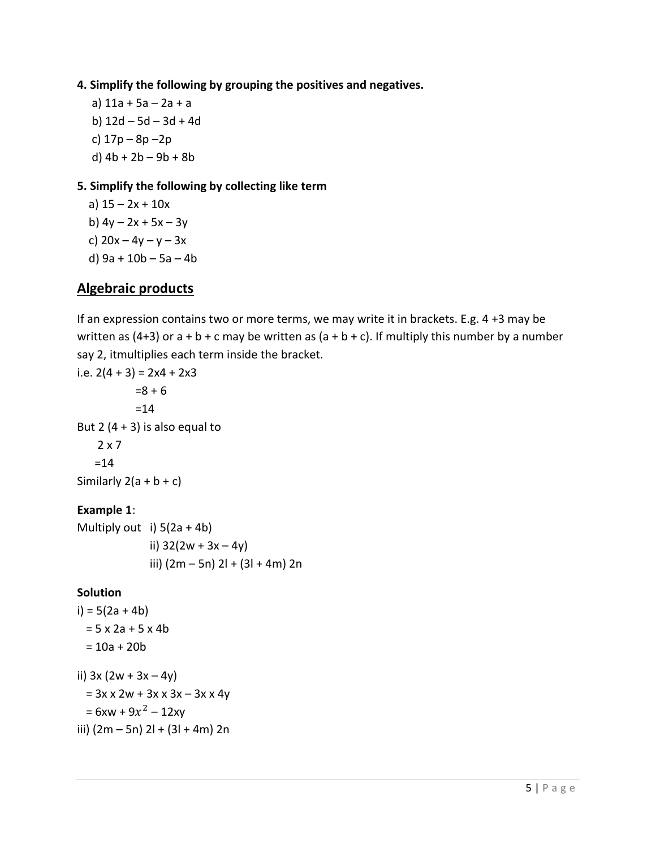#### 4. Simplify the following by grouping the positives and negatives.

 a) 11a + 5a – 2a + a b) 12d – 5d – 3d + 4d c) 17p – 8p –2p d) 4b + 2b – 9b + 8b

#### 5. Simplify the following by collecting like term

a)  $15 - 2x + 10x$ b)  $4y - 2x + 5x - 3y$ c)  $20x - 4y - y - 3x$ d) 9a + 10b – 5a – 4b

### Algebraic products

If an expression contains two or more terms, we may write it in brackets. E.g. 4 +3 may be written as (4+3) or  $a + b + c$  may be written as ( $a + b + c$ ). If multiply this number by a number say 2, itmultiplies each term inside the bracket.

```
i.e. 2(4 + 3) = 2x4 + 2x3=8 + 6 =14 
But 2 (4 + 3) is also equal to
    2 \times 7=14Similarly 2(a + b + c)Example 1:
```
Multiply out i)  $5(2a + 4b)$ ii)  $32(2w + 3x - 4y)$ iii)  $(2m - 5n)$  2l +  $(3l + 4m)$  2n

#### **Solution**

```
i) = 5(2a + 4b)= 5 x 2a + 5 x 4b= 10a + 20bii) 3x (2w + 3x - 4y)= 3x \times 2w + 3x \times 3x - 3x \times 4y= 6xw + 9x^2 - 12xy
iii) (2m - 5n) 2l + (3l + 4m) 2n
```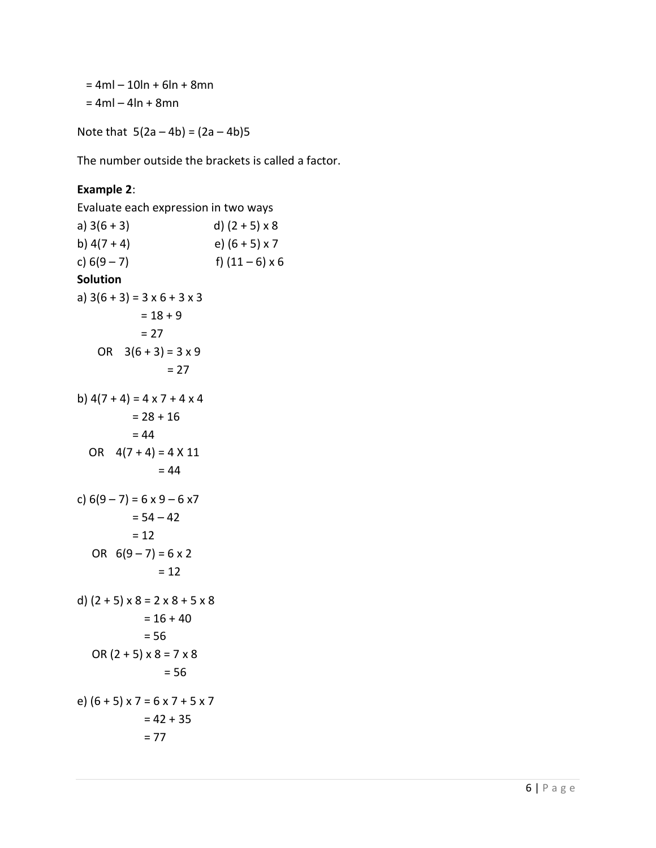$= 4ml - 10ln + 6ln + 8mn$  $= 4ml - 4ln + 8mn$ 

Note that  $5(2a - 4b) = (2a - 4b)5$ 

The number outside the brackets is called a factor.

#### Example 2:

```
Evaluate each expression in two ways 
a) 3(6 + 3) d) (2 + 5) \times 8b) 4(7 + 4) e) (6 + 5) \times 7c) 6(9-7) f) (11-6) \times 6Solution 
a) 3(6 + 3) = 3 \times 6 + 3 \times 3= 18 + 9= 27OR 3(6 + 3) = 3 \times 9= 27b) 4(7 + 4) = 4 \times 7 + 4 \times 4= 28 + 16= 44OR 4(7 + 4) = 4 \times 11= 44c) 6(9-7) = 6 \times 9 - 6 \times 7= 54 - 42= 12OR 6(9-7) = 6 \times 2= 12d) (2 + 5) \times 8 = 2 \times 8 + 5 \times 8= 16 + 40= 56OR (2 + 5) \times 8 = 7 \times 8= 56e) (6 + 5) \times 7 = 6 \times 7 + 5 \times 7= 42 + 35= 77
```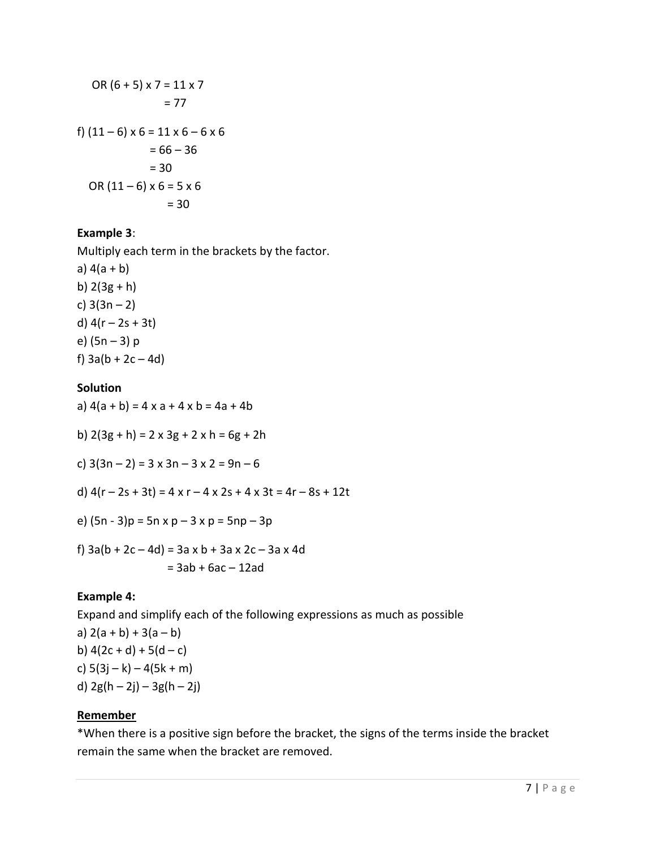OR (6 + 5) x 7 = 11 x 7 = 77 f) (11 – 6) x 6 = 11 x 6 – 6 x 6 = 66 – 36 = 30 OR (11 – 6) x 6 = 5 x 6 = 30

#### Example 3:

Multiply each term in the brackets by the factor.

a)  $4(a + b)$ b)  $2(3g + h)$ c)  $3(3n - 2)$ d)  $4(r - 2s + 3t)$ e) (5n – 3) p f)  $3a(b + 2c - 4d)$ 

#### **Solution**

a)  $4(a + b) = 4x a + 4x b = 4a + 4b$ 

b)  $2(3g + h) = 2 \times 3g + 2 \times h = 6g + 2h$ 

c)  $3(3n - 2) = 3 \times 3n - 3 \times 2 = 9n - 6$ 

- d)  $4(r 2s + 3t) = 4 \times r 4 \times 2s + 4 \times 3t = 4r 8s + 12t$
- e)  $(5n 3)p = 5n \times p 3 \times p = 5np 3p$
- f)  $3a(b + 2c 4d) = 3a \times b + 3a \times 2c 3a \times 4d$  $= 3ab + 6ac - 12ad$

#### Example 4:

Expand and simplify each of the following expressions as much as possible

a)  $2(a + b) + 3(a - b)$ b)  $4(2c + d) + 5(d - c)$ c)  $5(3j - k) - 4(5k + m)$ d)  $2g(h - 2j) - 3g(h - 2j)$ 

#### **Remember**

\*When there is a positive sign before the bracket, the signs of the terms inside the bracket remain the same when the bracket are removed.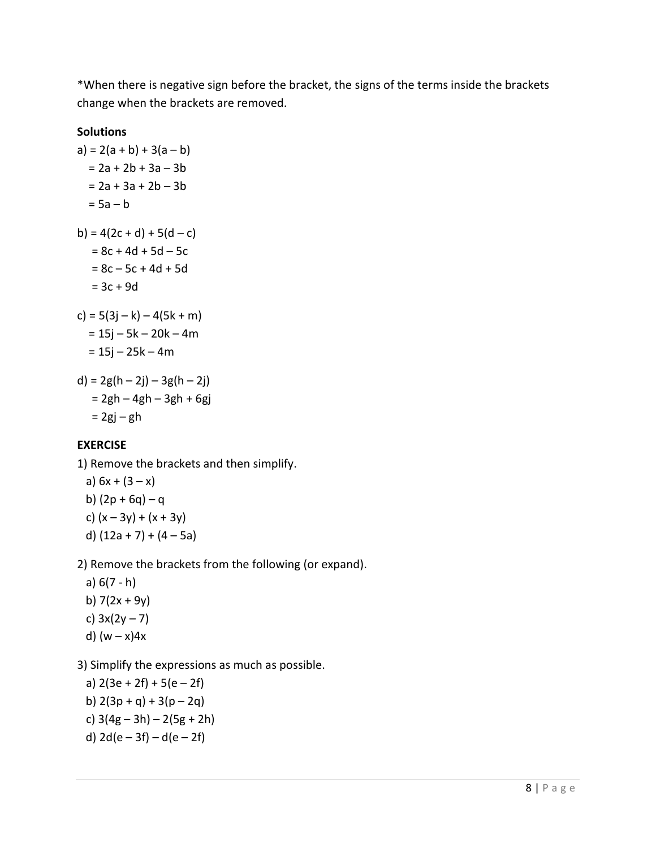\*When there is negative sign before the bracket, the signs of the terms inside the brackets change when the brackets are removed.

#### **Solutions**

a) = 2(a + b) + 3(a – b) = 2a + 2b + 3a – 3b = 2a + 3a + 2b – 3b = 5a – b b) = 4(2c + d) + 5(d – c) = 8c + 4d + 5d – 5c = 8c – 5c + 4d + 5d = 3c + 9d c) = 5(3j – k) – 4(5k + m) = 15j – 5k – 20k – 4m = 15j – 25k – 4m d) = 2g(h – 2j) – 3g(h – 2j) = 2gh – 4gh – 3gh + 6gj = 2gj – gh

### EXERCISE

1) Remove the brackets and then simplify.

a)  $6x + (3 - x)$ b)  $(2p + 6q) - q$ c)  $(x - 3y) + (x + 3y)$ d)  $(12a + 7) + (4 - 5a)$ 

2) Remove the brackets from the following (or expand).

 a) 6(7 - h) b)  $7(2x + 9y)$ c)  $3x(2y - 7)$ d)  $(w - x)4x$ 

3) Simplify the expressions as much as possible.

a)  $2(3e + 2f) + 5(e - 2f)$ b)  $2(3p + q) + 3(p - 2q)$ c)  $3(4g - 3h) - 2(5g + 2h)$ d)  $2d(e-3f) - d(e-2f)$